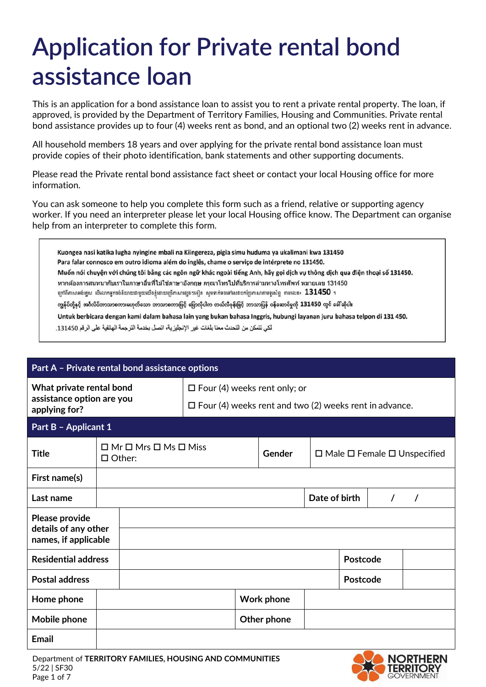## **Application for Private rental bond assistance loan**

This is an application for a bond assistance loan to assist you to rent a private rental property. The loan, if approved, is provided by the Department of Territory Families, Housing and Communities. Private rental bond assistance provides up to four (4) weeks rent as bond, and an optional two (2) weeks rent in advance.

All household members 18 years and over applying for the private rental bond assistance loan must provide copies of their photo identification, bank statements and other supporting documents.

Please read the Private rental bond assistance fact sheet or contact your local Housing office for more information.

You can ask someone to help you complete this form such as a friend, relative or supporting agency worker. If you need an interpreter please let your local Housing office know. The Department can organise help from an interpreter to complete this form.

Kuongea nasi katika lugha nyingine mbali na Kiingereza, pigia simu huduma ya ukalimani kwa 131450 Para falar connosco em outro idioma além do inglês, chame o serviço de intérprete no 131450. Muốn nói chuyện với chúng tôi bằng các ngôn ngữ khác ngoài tiếng Anh, hãy gọi dịch vụ thông dịch qua điện thoại số 131450. หากต้องการสนทนากับเราในภาษาอื่นที่ไม่ใช่ภาษาอังกฤษ กรุณาโทรไปที่บริการล่ามทางโทรศัพท์ หมายเลข 131450 ក្រៅពីភាសាអង់គ្លេស បើលោកអ្នកចង់និយាយជាមួយយើងខ្ញុំដោយប្រើភាសាផ្សេង១ទៀត សូមទាក់ទងទៅសេវាបកប្រែភាសាតាមទូរស័ព្ទ តាមលេខ៖  ${\bf 131450}$  ។ ကျွန်ုပ်တို့နှင့် အင်္ဂလိပ်ဘာသာစကားမဟုတ်သော ဘာသာစကားဖြင့် ပြောလိုပါက တယ်လီဖုန်းဖြင့် ဘာသာပြန် ဝန်ဆောင်မှုကို 131450 တွင် ခေါ်ဆိုပါ။ Untuk berbicara dengan kami dalam bahasa lain yang bukan bahasa Inggris, hubungi layanan juru bahasa telpon di 131 450. لكي تتمكن من التحدث معنا بلغات غير الإنجليزية، اتصل بخدمة الترجمة الهاتفية على الرقم 131450.

| Part A - Private rental bond assistance options                        |                                                             |                                                                                                         |  |        |                   |                                              |          |  |          |
|------------------------------------------------------------------------|-------------------------------------------------------------|---------------------------------------------------------------------------------------------------------|--|--------|-------------------|----------------------------------------------|----------|--|----------|
| What private rental bond<br>assistance option are you<br>applying for? |                                                             | $\Box$ Four (4) weeks rent only; or<br>$\square$ Four (4) weeks rent and two (2) weeks rent in advance. |  |        |                   |                                              |          |  |          |
| Part B - Applicant 1                                                   |                                                             |                                                                                                         |  |        |                   |                                              |          |  |          |
| <b>Title</b>                                                           | $\Box$ Mr $\Box$ Mrs $\Box$ Ms $\Box$ Miss<br>$\Box$ Other: |                                                                                                         |  | Gender |                   | $\Box$ Male $\Box$ Female $\Box$ Unspecified |          |  |          |
| First name(s)                                                          |                                                             |                                                                                                         |  |        |                   |                                              |          |  |          |
| Last name                                                              |                                                             |                                                                                                         |  |        |                   | Date of birth                                |          |  | $\prime$ |
| Please provide<br>details of any other<br>names, if applicable         |                                                             |                                                                                                         |  |        |                   |                                              |          |  |          |
| <b>Residential address</b>                                             |                                                             |                                                                                                         |  |        |                   |                                              | Postcode |  |          |
| <b>Postal address</b>                                                  |                                                             |                                                                                                         |  |        |                   | Postcode                                     |          |  |          |
| Home phone                                                             |                                                             |                                                                                                         |  |        | <b>Work phone</b> |                                              |          |  |          |
| Mobile phone                                                           |                                                             |                                                                                                         |  |        | Other phone       |                                              |          |  |          |
| <b>Email</b>                                                           |                                                             |                                                                                                         |  |        |                   |                                              |          |  |          |

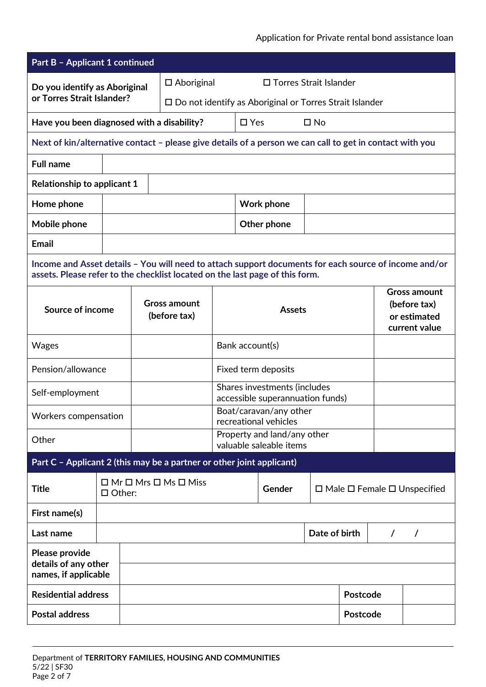## Application for Private rental bond assistance loan

| <b>Part B - Applicant 1 continued</b>                                                                                                                                                 |  |                                                             |                                                                   |                                                                  |               |                     |               |                 |          |                                                                      |
|---------------------------------------------------------------------------------------------------------------------------------------------------------------------------------------|--|-------------------------------------------------------------|-------------------------------------------------------------------|------------------------------------------------------------------|---------------|---------------------|---------------|-----------------|----------|----------------------------------------------------------------------|
| Do you identify as Aboriginal<br>or Torres Strait Islander?                                                                                                                           |  | □ Torres Strait Islander<br>$\square$ Aboriginal            |                                                                   |                                                                  |               |                     |               |                 |          |                                                                      |
|                                                                                                                                                                                       |  |                                                             | $\square$ Do not identify as Aboriginal or Torres Strait Islander |                                                                  |               |                     |               |                 |          |                                                                      |
| Have you been diagnosed with a disability?                                                                                                                                            |  |                                                             |                                                                   |                                                                  | $\square$ Yes |                     | $\square$ No  |                 |          |                                                                      |
| Next of kin/alternative contact - please give details of a person we can call to get in contact with you                                                                              |  |                                                             |                                                                   |                                                                  |               |                     |               |                 |          |                                                                      |
| <b>Full name</b>                                                                                                                                                                      |  |                                                             |                                                                   |                                                                  |               |                     |               |                 |          |                                                                      |
| <b>Relationship to applicant 1</b>                                                                                                                                                    |  |                                                             |                                                                   |                                                                  |               |                     |               |                 |          |                                                                      |
| Home phone                                                                                                                                                                            |  |                                                             |                                                                   |                                                                  |               | <b>Work phone</b>   |               |                 |          |                                                                      |
| Mobile phone                                                                                                                                                                          |  |                                                             |                                                                   |                                                                  |               | Other phone         |               |                 |          |                                                                      |
| <b>Email</b>                                                                                                                                                                          |  |                                                             |                                                                   |                                                                  |               |                     |               |                 |          |                                                                      |
| Income and Asset details - You will need to attach support documents for each source of income and/or<br>assets. Please refer to the checklist located on the last page of this form. |  |                                                             |                                                                   |                                                                  |               |                     |               |                 |          |                                                                      |
| Source of income                                                                                                                                                                      |  |                                                             | <b>Gross amount</b><br>(before tax)                               |                                                                  | <b>Assets</b> |                     |               |                 |          | <b>Gross amount</b><br>(before tax)<br>or estimated<br>current value |
| <b>Wages</b>                                                                                                                                                                          |  |                                                             |                                                                   | Bank account(s)                                                  |               |                     |               |                 |          |                                                                      |
| Pension/allowance                                                                                                                                                                     |  |                                                             |                                                                   |                                                                  |               | Fixed term deposits |               |                 |          |                                                                      |
| Self-employment                                                                                                                                                                       |  |                                                             |                                                                   | Shares investments (includes<br>accessible superannuation funds) |               |                     |               |                 |          |                                                                      |
| Workers compensation                                                                                                                                                                  |  |                                                             |                                                                   | Boat/caravan/any other<br>recreational vehicles                  |               |                     |               |                 |          |                                                                      |
| Other                                                                                                                                                                                 |  |                                                             |                                                                   | Property and land/any other<br>valuable saleable items           |               |                     |               |                 |          |                                                                      |
| Part C - Applicant 2 (this may be a partner or other joint applicant)                                                                                                                 |  |                                                             |                                                                   |                                                                  |               |                     |               |                 |          |                                                                      |
| <b>Title</b>                                                                                                                                                                          |  | $\Box$ Mr $\Box$ Mrs $\Box$ Ms $\Box$ Miss<br>$\Box$ Other: |                                                                   |                                                                  |               | Gender              |               |                 |          | $\Box$ Male $\Box$ Female $\Box$ Unspecified                         |
| First name(s)                                                                                                                                                                         |  |                                                             |                                                                   |                                                                  |               |                     |               |                 |          |                                                                      |
| Last name                                                                                                                                                                             |  |                                                             |                                                                   |                                                                  |               |                     | Date of birth |                 | $\prime$ | $\prime$                                                             |
| Please provide<br>details of any other<br>names, if applicable                                                                                                                        |  |                                                             |                                                                   |                                                                  |               |                     |               |                 |          |                                                                      |
| <b>Residential address</b>                                                                                                                                                            |  |                                                             |                                                                   |                                                                  |               |                     |               | <b>Postcode</b> |          |                                                                      |
| <b>Postal address</b>                                                                                                                                                                 |  |                                                             |                                                                   |                                                                  |               |                     |               | Postcode        |          |                                                                      |
|                                                                                                                                                                                       |  |                                                             |                                                                   |                                                                  |               |                     |               |                 |          |                                                                      |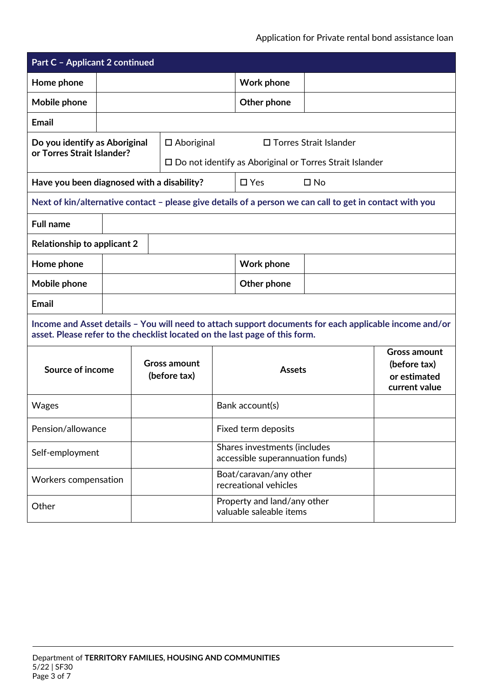| <b>Part C - Applicant 2 continued</b>      |  |  |                                     |                                                                  |                                                                                                          |              |                                                                                                        |  |
|--------------------------------------------|--|--|-------------------------------------|------------------------------------------------------------------|----------------------------------------------------------------------------------------------------------|--------------|--------------------------------------------------------------------------------------------------------|--|
| Home phone                                 |  |  |                                     |                                                                  | <b>Work phone</b>                                                                                        |              |                                                                                                        |  |
| Mobile phone                               |  |  |                                     | Other phone                                                      |                                                                                                          |              |                                                                                                        |  |
| <b>Email</b>                               |  |  |                                     |                                                                  |                                                                                                          |              |                                                                                                        |  |
| Do you identify as Aboriginal              |  |  | $\Box$ Aboriginal                   |                                                                  |                                                                                                          |              |                                                                                                        |  |
| or Torres Strait Islander?                 |  |  |                                     |                                                                  | $\square$ Do not identify as Aboriginal or Torres Strait Islander                                        |              |                                                                                                        |  |
| Have you been diagnosed with a disability? |  |  |                                     |                                                                  | $\Box$ Yes                                                                                               | $\square$ No |                                                                                                        |  |
|                                            |  |  |                                     |                                                                  | Next of kin/alternative contact - please give details of a person we can call to get in contact with you |              |                                                                                                        |  |
| <b>Full name</b>                           |  |  |                                     |                                                                  |                                                                                                          |              |                                                                                                        |  |
| <b>Relationship to applicant 2</b>         |  |  |                                     |                                                                  |                                                                                                          |              |                                                                                                        |  |
| Home phone                                 |  |  |                                     |                                                                  | <b>Work phone</b>                                                                                        |              |                                                                                                        |  |
| Mobile phone                               |  |  |                                     | Other phone                                                      |                                                                                                          |              |                                                                                                        |  |
| <b>Email</b>                               |  |  |                                     |                                                                  |                                                                                                          |              |                                                                                                        |  |
|                                            |  |  |                                     |                                                                  | asset. Please refer to the checklist located on the last page of this form.                              |              | Income and Asset details - You will need to attach support documents for each applicable income and/or |  |
| Source of income                           |  |  | <b>Gross amount</b><br>(before tax) |                                                                  | <b>Assets</b>                                                                                            |              | <b>Gross amount</b><br>(before tax)<br>or estimated<br>current value                                   |  |
| Wages                                      |  |  |                                     | Bank account(s)                                                  |                                                                                                          |              |                                                                                                        |  |
| Pension/allowance                          |  |  |                                     | Fixed term deposits                                              |                                                                                                          |              |                                                                                                        |  |
| Self-employment                            |  |  |                                     | Shares investments (includes<br>accessible superannuation funds) |                                                                                                          |              |                                                                                                        |  |
| Workers compensation                       |  |  |                                     | Boat/caravan/any other<br>recreational vehicles                  |                                                                                                          |              |                                                                                                        |  |
| Other                                      |  |  |                                     | Property and land/any other<br>valuable saleable items           |                                                                                                          |              |                                                                                                        |  |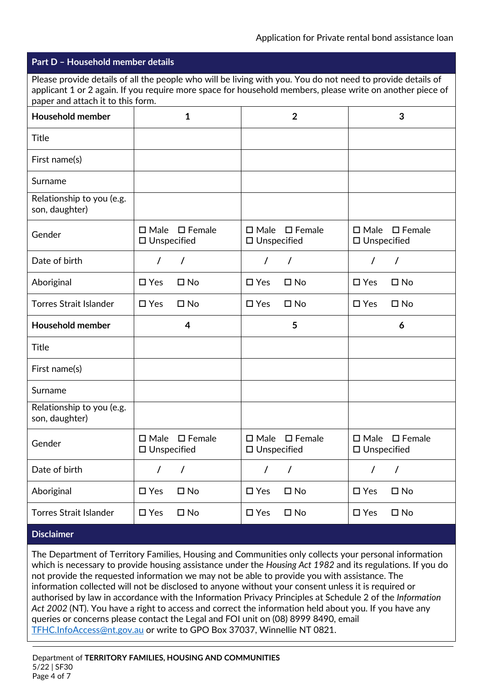|                                                                                                                                                                                                                                                               | Part D – Household member details       |                  |                                         |                  |                                         |                  |  |  |
|---------------------------------------------------------------------------------------------------------------------------------------------------------------------------------------------------------------------------------------------------------------|-----------------------------------------|------------------|-----------------------------------------|------------------|-----------------------------------------|------------------|--|--|
| Please provide details of all the people who will be living with you. You do not need to provide details of<br>applicant 1 or 2 again. If you require more space for household members, please write on another piece of<br>paper and attach it to this form. |                                         |                  |                                         |                  |                                         |                  |  |  |
| <b>Household member</b>                                                                                                                                                                                                                                       |                                         | $\mathbf{1}$     |                                         | $\overline{2}$   |                                         | 3                |  |  |
| <b>Title</b>                                                                                                                                                                                                                                                  |                                         |                  |                                         |                  |                                         |                  |  |  |
| First name(s)                                                                                                                                                                                                                                                 |                                         |                  |                                         |                  |                                         |                  |  |  |
| Surname                                                                                                                                                                                                                                                       |                                         |                  |                                         |                  |                                         |                  |  |  |
| Relationship to you (e.g.<br>son, daughter)                                                                                                                                                                                                                   |                                         |                  |                                         |                  |                                         |                  |  |  |
| Gender                                                                                                                                                                                                                                                        | $\square$ Male<br>$\square$ Unspecified | $\square$ Female | $\square$ Male<br>$\square$ Unspecified | $\square$ Female | $\square$ Male<br>$\square$ Unspecified | $\square$ Female |  |  |
| Date of birth                                                                                                                                                                                                                                                 |                                         |                  |                                         | T                |                                         | $\prime$         |  |  |
| Aboriginal                                                                                                                                                                                                                                                    | $\Box$ Yes                              | $\square$ No     | $\square$ Yes                           | $\square$ No     | $\Box$ Yes                              | $\square$ No     |  |  |
| <b>Torres Strait Islander</b>                                                                                                                                                                                                                                 | $\Box$ Yes                              | $\square$ No     | $\square$ Yes                           | $\square$ No     | $\square$ Yes                           | $\square$ No     |  |  |
| <b>Household member</b>                                                                                                                                                                                                                                       |                                         | 4                |                                         | 5                |                                         | 6                |  |  |
| <b>Title</b>                                                                                                                                                                                                                                                  |                                         |                  |                                         |                  |                                         |                  |  |  |
| First name(s)                                                                                                                                                                                                                                                 |                                         |                  |                                         |                  |                                         |                  |  |  |
| Surname                                                                                                                                                                                                                                                       |                                         |                  |                                         |                  |                                         |                  |  |  |
| Relationship to you (e.g.<br>son, daughter)                                                                                                                                                                                                                   |                                         |                  |                                         |                  |                                         |                  |  |  |
| Gender                                                                                                                                                                                                                                                        | $\square$ Male<br>$\square$ Unspecified | $\square$ Female | $\square$ Male<br>□ Unspecified         | $\square$ Female | $\square$ Male<br>$\square$ Unspecified | $\square$ Female |  |  |
| Date of birth                                                                                                                                                                                                                                                 | $\prime$<br>$\prime$                    |                  | $\prime$                                | $\prime$         | $\prime$                                | $\prime$         |  |  |
| Aboriginal                                                                                                                                                                                                                                                    | $\square$ Yes                           | $\square$ No     | $\square$ Yes                           | $\square$ No     | $\square$ Yes                           | $\square$ No     |  |  |
| <b>Torres Strait Islander</b>                                                                                                                                                                                                                                 | $\square$ Yes                           | $\square$ No     | $\Box$ Yes                              | $\square$ No     | $\square$ Yes                           | $\square$ No     |  |  |
| <b>Disclaimer</b>                                                                                                                                                                                                                                             |                                         |                  |                                         |                  |                                         |                  |  |  |

The Department of Territory Families, Housing and Communities only collects your personal information which is necessary to provide housing assistance under the *Housing Act 1982* and its regulations. If you do not provide the requested information we may not be able to provide you with assistance. The information collected will not be disclosed to anyone without your consent unless it is required or authorised by law in accordance with the Information Privacy Principles at Schedule 2 of the *Information Act 2002* (NT). You have a right to access and correct the information held about you. If you have any queries or concerns please contact the Legal and FOI unit on (08) 8999 8490, email [TFHC.InfoAccess@nt.gov.au](mailto:TFHC.InfoAccess@nt.gov.au) or write to GPO Box 37037, Winnellie NT 0821.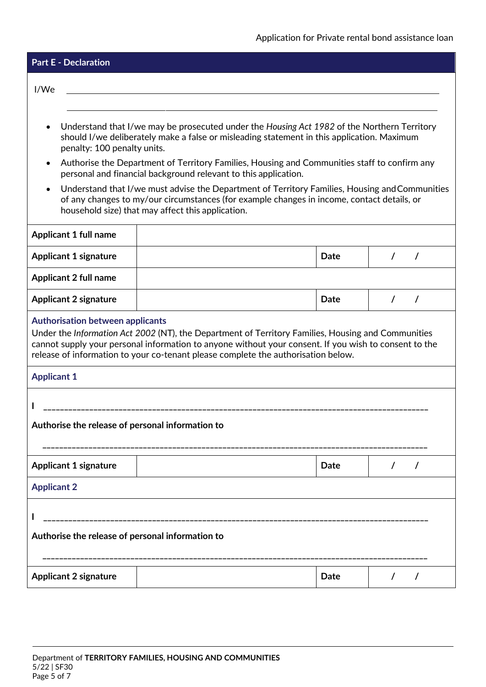| <b>Part E - Declaration</b>                                                                                                                                                                                                                                                                                                                                                                                                                                                                                                                                                                                                                                                |  |             |  |  |  |  |
|----------------------------------------------------------------------------------------------------------------------------------------------------------------------------------------------------------------------------------------------------------------------------------------------------------------------------------------------------------------------------------------------------------------------------------------------------------------------------------------------------------------------------------------------------------------------------------------------------------------------------------------------------------------------------|--|-------------|--|--|--|--|
| I/We                                                                                                                                                                                                                                                                                                                                                                                                                                                                                                                                                                                                                                                                       |  |             |  |  |  |  |
| Understand that I/we may be prosecuted under the Housing Act 1982 of the Northern Territory<br>should I/we deliberately make a false or misleading statement in this application. Maximum<br>penalty: 100 penalty units.<br>Authorise the Department of Territory Families, Housing and Communities staff to confirm any<br>$\bullet$<br>personal and financial background relevant to this application.<br>Understand that I/we must advise the Department of Territory Families, Housing and Communities<br>$\bullet$<br>of any changes to my/our circumstances (for example changes in income, contact details, or<br>household size) that may affect this application. |  |             |  |  |  |  |
| <b>Applicant 1 full name</b>                                                                                                                                                                                                                                                                                                                                                                                                                                                                                                                                                                                                                                               |  |             |  |  |  |  |
| <b>Applicant 1 signature</b>                                                                                                                                                                                                                                                                                                                                                                                                                                                                                                                                                                                                                                               |  | Date        |  |  |  |  |
| <b>Applicant 2 full name</b>                                                                                                                                                                                                                                                                                                                                                                                                                                                                                                                                                                                                                                               |  |             |  |  |  |  |
| <b>Applicant 2 signature</b>                                                                                                                                                                                                                                                                                                                                                                                                                                                                                                                                                                                                                                               |  | Date        |  |  |  |  |
| <b>Authorisation between applicants</b><br>Under the Information Act 2002 (NT), the Department of Territory Families, Housing and Communities<br>cannot supply your personal information to anyone without your consent. If you wish to consent to the<br>release of information to your co-tenant please complete the authorisation below.                                                                                                                                                                                                                                                                                                                                |  |             |  |  |  |  |
| <b>Applicant 1</b>                                                                                                                                                                                                                                                                                                                                                                                                                                                                                                                                                                                                                                                         |  |             |  |  |  |  |
| _____________________________________<br>Authorise the release of personal information to                                                                                                                                                                                                                                                                                                                                                                                                                                                                                                                                                                                  |  |             |  |  |  |  |
| <b>Applicant 1 signature</b>                                                                                                                                                                                                                                                                                                                                                                                                                                                                                                                                                                                                                                               |  | <b>Date</b> |  |  |  |  |
| <b>Applicant 2</b>                                                                                                                                                                                                                                                                                                                                                                                                                                                                                                                                                                                                                                                         |  |             |  |  |  |  |
| Authorise the release of personal information to                                                                                                                                                                                                                                                                                                                                                                                                                                                                                                                                                                                                                           |  |             |  |  |  |  |
| <b>Applicant 2 signature</b>                                                                                                                                                                                                                                                                                                                                                                                                                                                                                                                                                                                                                                               |  | Date        |  |  |  |  |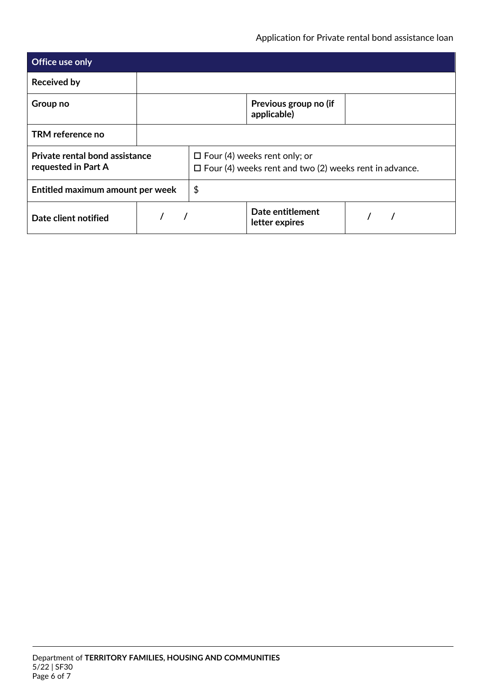| <b>Office use only</b>                                |  |                                                                                                      |                                      |  |  |  |  |
|-------------------------------------------------------|--|------------------------------------------------------------------------------------------------------|--------------------------------------|--|--|--|--|
| <b>Received by</b>                                    |  |                                                                                                      |                                      |  |  |  |  |
| Group no                                              |  |                                                                                                      | Previous group no (if<br>applicable) |  |  |  |  |
| TRM reference no                                      |  |                                                                                                      |                                      |  |  |  |  |
| Private rental bond assistance<br>requested in Part A |  | $\Box$ Four (4) weeks rent only; or<br>$\Box$ Four (4) weeks rent and two (2) weeks rent in advance. |                                      |  |  |  |  |
| Entitled maximum amount per week                      |  | \$                                                                                                   |                                      |  |  |  |  |
| Date client notified                                  |  |                                                                                                      | Date entitlement<br>letter expires   |  |  |  |  |